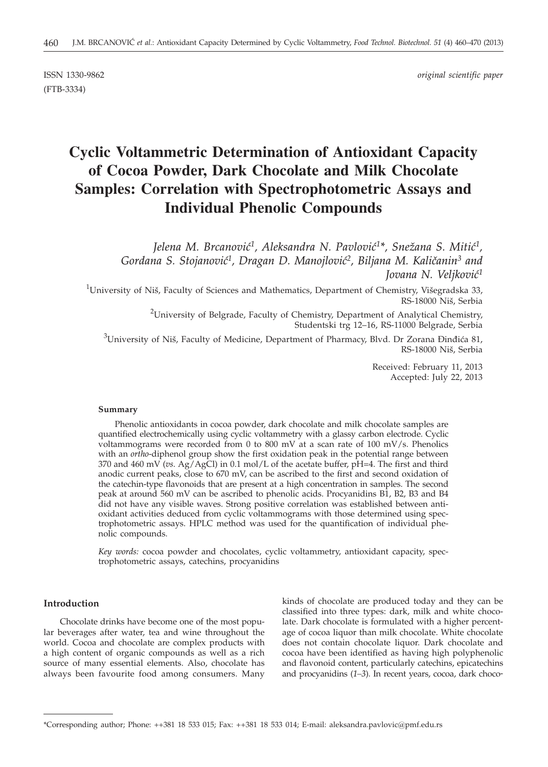(FTB-3334)

ISSN 1330-9862 *original scientific paper*

# **Cyclic Voltammetric Determination of Antioxidant Capacity of Cocoa Powder, Dark Chocolate and Milk Chocolate Samples: Correlation with Spectrophotometric Assays and Individual Phenolic Compounds**

Jelena M. Brcanović<sup>1</sup>, Aleksandra N. Pavlović<sup>1\*</sup>, Snežana S. Mitić<sup>1</sup>,  $G$ ordana S. Stojanović<sup>1</sup>, Dragan D. Manojlović<sup>2</sup>, Biljana M. Kaličanin<sup>3</sup> and Jovana N. Veljković<sup>1</sup>

 $^{1}$ University of Niš, Faculty of Sciences and Mathematics, Department of Chemistry, Višegradska 33, RS-18000 Niš, Serbia

> <sup>2</sup>University of Belgrade, Faculty of Chemistry, Department of Analytical Chemistry, Studentski trg 12–16, RS-11000 Belgrade, Serbia

 $^3$ University of Niš, Faculty of Medicine, Department of Pharmacy, Blvd. Dr Zorana Đinđića 81, RS-18000 Niš, Serbia

> Received: February 11, 2013 Accepted: July 22, 2013

## **Summary**

Phenolic antioxidants in cocoa powder, dark chocolate and milk chocolate samples are quantified electrochemically using cyclic voltammetry with a glassy carbon electrode. Cyclic voltammograms were recorded from 0 to 800 mV at a scan rate of 100 mV/s. Phenolics with an *ortho*-diphenol group show the first oxidation peak in the potential range between 370 and 460 mV (*vs*. Ag/AgCl) in 0.1 mol/L of the acetate buffer, pH=4. The first and third anodic current peaks, close to 670 mV, can be ascribed to the first and second oxidation of the catechin-type flavonoids that are present at a high concentration in samples. The second peak at around 560 mV can be ascribed to phenolic acids. Procyanidins B1, B2, B3 and B4 did not have any visible waves. Strong positive correlation was established between antioxidant activities deduced from cyclic voltammograms with those determined using spectrophotometric assays. HPLC method was used for the quantification of individual phenolic compounds.

*Key words:* cocoa powder and chocolates, cyclic voltammetry, antioxidant capacity, spectrophotometric assays, catechins, procyanidins

#### **Introduction**

Chocolate drinks have become one of the most popular beverages after water, tea and wine throughout the world. Cocoa and chocolate are complex products with a high content of organic compounds as well as a rich source of many essential elements. Also, chocolate has always been favourite food among consumers. Many kinds of chocolate are produced today and they can be classified into three types: dark, milk and white chocolate. Dark chocolate is formulated with a higher percentage of cocoa liquor than milk chocolate. White chocolate does not contain chocolate liquor. Dark chocolate and cocoa have been identified as having high polyphenolic and flavonoid content, particularly catechins, epicatechins and procyanidins (*1–3*). In recent years, cocoa, dark choco-

<sup>\*</sup>Corresponding author; Phone: ++381 18 533 015; Fax: ++381 18 533 014; E-mail: aleksandra.pavlovic@pmf.edu.rs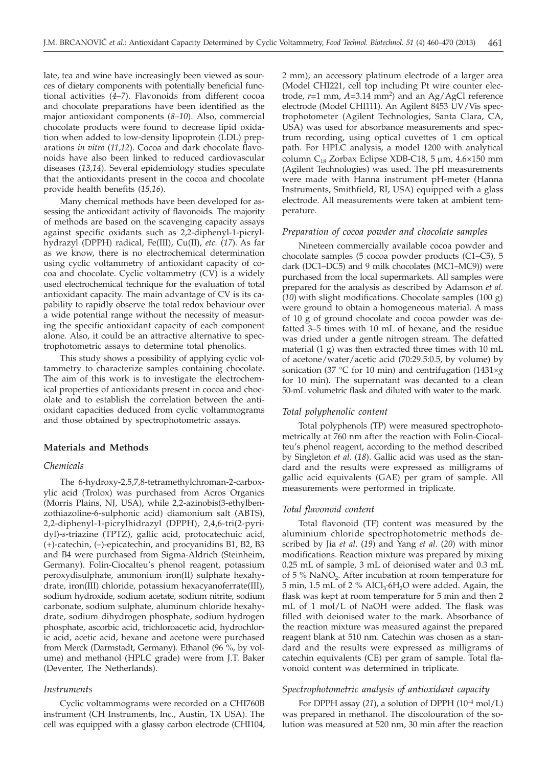late, tea and wine have increasingly been viewed as sources of dietary components with potentially beneficial functional activities (*4–7*). Flavonoids from different cocoa and chocolate preparations have been identified as the major antioxidant components (*8–10*). Also, commercial chocolate products were found to decrease lipid oxidation when added to low-density lipoprotein (LDL) preparations *in vitro* (*11,12*). Cocoa and dark chocolate flavonoids have also been linked to reduced cardiovascular diseases (*13,14*). Several epidemiology studies speculate that the antioxidants present in the cocoa and chocolate provide health benefits (*15,16*).

Many chemical methods have been developed for assessing the antioxidant activity of flavonoids. The majority of methods are based on the scavenging capacity assays against specific oxidants such as 2,2-diphenyl-1-picrylhydrazyl (DPPH) radical, Fe(III), Cu(II), *etc.* (*17*). As far as we know, there is no electrochemical determination using cyclic voltammetry of antioxidant capacity of cocoa and chocolate. Cyclic voltammetry (CV) is a widely used electrochemical technique for the evaluation of total antioxidant capacity. The main advantage of CV is its capability to rapidly observe the total redox behaviour over a wide potential range without the necessity of measuring the specific antioxidant capacity of each component alone. Also, it could be an attractive alternative to spectrophotometric assays to determine total phenolics.

This study shows a possibility of applying cyclic voltammetry to characterize samples containing chocolate. The aim of this work is to investigate the electrochemical properties of antioxidants present in cocoa and chocolate and to establish the correlation between the antioxidant capacities deduced from cyclic voltammograms and those obtained by spectrophotometric assays.

# **Materials and Methods**

# *Chemicals*

The 6-hydroxy-2,5,7,8-tetramethylchroman-2-carboxylic acid (Trolox) was purchased from Acros Organics (Morris Plains, NJ, USA), while 2,2-azinobis(3-ethylbenzothiazoline-6-sulphonic acid) diamonium salt (ABTS), 2,2-diphenyl-1-picrylhidrazyl (DPPH), 2,4,6-tri(2-pyridyl)-*s*-triazine (TPTZ), gallic acid, protocatechuic acid, (+)-catechin, (–)-epicatechin, and procyanidins B1, B2, B3 and B4 were purchased from Sigma-Aldrich (Steinheim, Germany). Folin-Ciocalteu's phenol reagent, potassium peroxydisulphate, ammonium iron(II) sulphate hexahydrate, iron(III) chloride, potassium hexacyanoferrate(III), sodium hydroxide, sodium acetate, sodium nitrite, sodium carbonate, sodium sulphate, aluminum chloride hexahydrate, sodium dihydrogen phosphate, sodium hydrogen phosphate, ascorbic acid, trichloroacetic acid, hydrochloric acid, acetic acid, hexane and acetone were purchased from Merck (Darmstadt, Germany). Ethanol (96 %, by volume) and methanol (HPLC grade) were from J.T. Baker (Deventer, The Netherlands).

#### *Instruments*

Cyclic voltammograms were recorded on a CHI760B instrument (CH Instruments, Inc., Austin, TX USA). The cell was equipped with a glassy carbon electrode (CHI104, 2 mm), an accessory platinum electrode of a larger area (Model CHI221, cell top including Pt wire counter electrode, *r*=1 mm, *A*=3.14 mm2 ) and an Ag/AgCl reference electrode (Model CHI111). An Agilent 8453 UV/Vis spectrophotometer (Agilent Technologies, Santa Clara, CA, USA) was used for absorbance measurements and spectrum recording, using optical cuvettes of 1 cm optical path. For HPLC analysis, a model 1200 with analytical column  $C_{18}$  Zorbax Eclipse XDB-C18, 5  $\mu$ m, 4.6×150 mm (Agilent Technologies) was used. The pH measurements were made with Hanna instrument pH-meter (Hanna Instruments, Smithfield, RI, USA) equipped with a glass electrode. All measurements were taken at ambient temperature.

#### *Preparation of cocoa powder and chocolate samples*

Nineteen commercially available cocoa powder and chocolate samples (5 cocoa powder products (C1–C5), 5 dark (DC1–DC5) and 9 milk chocolates (MC1–MC9)) were purchased from the local supermarkets. All samples were prepared for the analysis as described by Adamson *et al.* (*10*) with slight modifications. Chocolate samples (100 g) were ground to obtain a homogeneous material. A mass of 10 g of ground chocolate and cocoa powder was defatted 3–5 times with 10 mL of hexane, and the residue was dried under a gentle nitrogen stream. The defatted material (1 g) was then extracted three times with 10 mL of acetone/water/acetic acid (70:29.5:0.5, by volume) by sonication (37 °C for 10 min) and centrifugation (1431×*g* for 10 min). The supernatant was decanted to a clean 50-mL volumetric flask and diluted with water to the mark.

#### *Total polyphenolic content*

Total polyphenols (TP) were measured spectrophotometrically at 760 nm after the reaction with Folin-Ciocalteu's phenol reagent, according to the method described by Singleton *et al.* (*18*). Gallic acid was used as the standard and the results were expressed as milligrams of gallic acid equivalents (GAE) per gram of sample. All measurements were performed in triplicate.

#### *Total flavonoid content*

Total flavonoid (TF) content was measured by the aluminium chloride spectrophotometric methods described by Jia *et al*. (*19*) and Yang *et al*. (*20*) with minor modifications. Reaction mixture was prepared by mixing 0.25 mL of sample, 3 mL of deionised water and 0.3 mL of  $5\%$  NaNO<sub>2</sub>. After incubation at room temperature for 5 min, 1.5 mL of 2 % AlCl<sub>3</sub>·6H<sub>2</sub>O were added. Again, the flask was kept at room temperature for 5 min and then 2 mL of 1 mol/L of NaOH were added. The flask was filled with deionised water to the mark. Absorbance of the reaction mixture was measured against the prepared reagent blank at 510 nm. Catechin was chosen as a standard and the results were expressed as milligrams of catechin equivalents (CE) per gram of sample. Total flavonoid content was determined in triplicate.

## *Spectrophotometric analysis of antioxidant capacity*

For DPPH assay  $(21)$ , a solution of DPPH  $(10^{-4} \text{ mol/L})$ was prepared in methanol. The discolouration of the solution was measured at 520 nm, 30 min after the reaction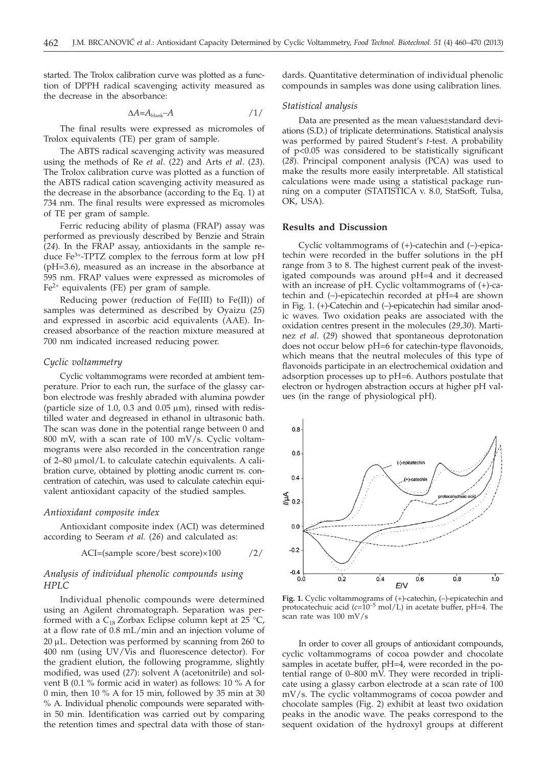started. The Trolox calibration curve was plotted as a function of DPPH radical scavenging activity measured as the decrease in the absorbance:

$$
\Delta A = A_{\text{blank}} - A \qquad \qquad /1/
$$

The final results were expressed as micromoles of Trolox equivalents (TE) per gram of sample.

The ABTS radical scavenging activity was measured using the methods of Re *et al*. (*22*) and Arts *et al*. (*23*). The Trolox calibration curve was plotted as a function of the ABTS radical cation scavenging activity measured as the decrease in the absorbance (according to the Eq. 1) at 734 nm. The final results were expressed as micromoles of TE per gram of sample.

Ferric reducing ability of plasma (FRAP) assay was performed as previously described by Benzie and Strain (*24*). In the FRAP assay, antioxidants in the sample reduce  $Fe^{3+}$ -TPTZ complex to the ferrous form at low pH (pH=3.6), measured as an increase in the absorbance at 595 nm. FRAP values were expressed as micromoles of  $Fe<sup>2+</sup>$  equivalents (FE) per gram of sample.

Reducing power (reduction of Fe(III) to Fe(II)) of samples was determined as described by Oyaizu (*25*) and expressed in ascorbic acid equivalents (AAE). Increased absorbance of the reaction mixture measured at 700 nm indicated increased reducing power.

## *Cyclic voltammetry*

Cyclic voltammograms were recorded at ambient temperature. Prior to each run, the surface of the glassy carbon electrode was freshly abraded with alumina powder (particle size of 1.0, 0.3 and 0.05  $\mu$ m), rinsed with redistilled water and degreased in ethanol in ultrasonic bath. The scan was done in the potential range between 0 and 800 mV, with a scan rate of 100 mV/s. Cyclic voltammograms were also recorded in the concentration range of  $2-80 \mu$ mol/L to calculate catechin equivalents. A calibration curve, obtained by plotting anodic current *vs*. concentration of catechin, was used to calculate catechin equivalent antioxidant capacity of the studied samples.

#### *Antioxidant composite index*

Antioxidant composite index (ACI) was determined according to Seeram *et al.* (*26*) and calculated as:

$$
ACI = (sample score / best score) \times 100 \qquad /2/
$$

# *Analysis of individual phenolic compounds using HPLC*

Individual phenolic compounds were determined using an Agilent chromatograph. Separation was performed with a  $C_{18}$  Zorbax Eclipse column kept at 25 °C, at a flow rate of 0.8 mL/min and an injection volume of  $20 \mu$ L. Detection was performed by scanning from 260 to 400 nm (using UV/Vis and fluorescence detector). For the gradient elution, the following programme, slightly modified, was used (*27*): solvent A (acetonitrile) and solvent B (0.1 % formic acid in water) as follows: 10 % A for 0 min, then 10 % A for 15 min, followed by 35 min at 30 % A. Individual phenolic compounds were separated within 50 min. Identification was carried out by comparing the retention times and spectral data with those of standards. Quantitative determination of individual phenolic compounds in samples was done using calibration lines.

#### *Statistical analysis*

Data are presented as the mean values±standard deviations (S.D.) of triplicate determinations. Statistical analysis was performed by paired Student's *t*-test. A probability of p<0.05 was considered to be statistically significant (*28*). Principal component analysis (PCA) was used to make the results more easily interpretable. All statistical calculations were made using a statistical package running on a computer (STATISTICA v. 8.0, StatSoft, Tulsa, OK, USA).

# **Results and Discussion**

Cyclic voltammograms of (+)-catechin and (–)-epicatechin were recorded in the buffer solutions in the pH range from 3 to 8. The highest current peak of the investigated compounds was around pH=4 and it decreased with an increase of pH. Cyclic voltammograms of (+)-catechin and (–)-epicatechin recorded at pH=4 are shown in Fig. 1. (+)-Catechin and (–)-epicatechin had similar anodic waves. Two oxidation peaks are associated with the oxidation centres present in the molecules (*29,30*). Martinez *et al*. (*29*) showed that spontaneous deprotonation does not occur below pH=6 for catechin-type flavonoids, which means that the neutral molecules of this type of flavonoids participate in an electrochemical oxidation and adsorption processes up to pH=6. Authors postulate that electron or hydrogen abstraction occurs at higher pH values (in the range of physiological pH).



**Fig. 1.** Cyclic voltammograms of (+)-catechin, (–)-epicatechin and protocatechuic acid (*c*=10–5 mol/L) in acetate buffer, pH=4. The scan rate was 100 mV/s

In order to cover all groups of antioxidant compounds, cyclic voltammograms of cocoa powder and chocolate samples in acetate buffer, pH=4, were recorded in the potential range of 0–800 mV. They were recorded in triplicate using a glassy carbon electrode at a scan rate of 100 mV/s. The cyclic voltammograms of cocoa powder and chocolate samples (Fig. 2) exhibit at least two oxidation peaks in the anodic wave. The peaks correspond to the sequent oxidation of the hydroxyl groups at different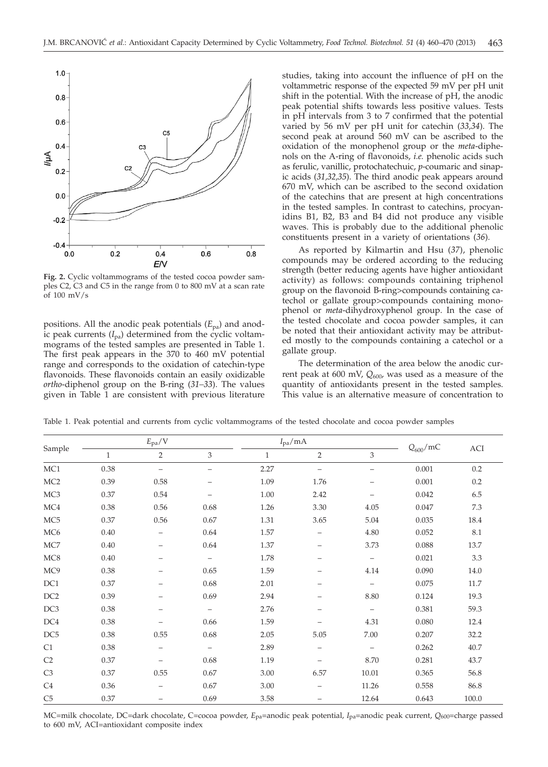

**Fig. 2.** Cyclic voltammograms of the tested cocoa powder samples C2, C3 and C5 in the range from 0 to 800 mV at a scan rate of 100 mV/s

positions. All the anodic peak potentials (*E*pa) and anodic peak currents  $(I_{pa})$  determined from the cyclic voltammograms of the tested samples are presented in Table 1. The first peak appears in the 370 to 460 mV potential range and corresponds to the oxidation of catechin-type flavonoids. These flavonoids contain an easily oxidizable *ortho*-diphenol group on the B-ring (*31–33*). The values given in Table 1 are consistent with previous literature studies, taking into account the influence of pH on the voltammetric response of the expected 59 mV per pH unit shift in the potential. With the increase of pH, the anodic peak potential shifts towards less positive values. Tests in pH intervals from 3 to 7 confirmed that the potential varied by 56 mV per pH unit for catechin (*33,34*). The second peak at around 560 mV can be ascribed to the oxidation of the monophenol group or the *meta*-diphenols on the A-ring of flavonoids, *i.e.* phenolic acids such as ferulic, vanillic, protochatechuic, *p*-coumaric and sinapic acids (*31,32,35*). The third anodic peak appears around 670 mV, which can be ascribed to the second oxidation of the catechins that are present at high concentrations in the tested samples. In contrast to catechins, procyanidins B1, B2, B3 and B4 did not produce any visible waves. This is probably due to the additional phenolic constituents present in a variety of orientations (*36*).

As reported by Kilmartin and Hsu (*37*), phenolic compounds may be ordered according to the reducing strength (better reducing agents have higher antioxidant activity) as follows: compounds containing triphenol group on the flavonoid B-ring>compounds containing catechol or gallate group>compounds containing monophenol or *meta*-dihydroxyphenol group. In the case of the tested chocolate and cocoa powder samples, it can be noted that their antioxidant activity may be attributed mostly to the compounds containing a catechol or a gallate group.

The determination of the area below the anodic current peak at 600 mV, Q<sub>600</sub>, was used as a measure of the quantity of antioxidants present in the tested samples. This value is an alternative measure of concentration to

| Sample          |              | $E_{\rm{pa}}/V$   |                          | $I_{pa}/mA$  |                          |                          | $Q_{600}$ /mC | ACI   |
|-----------------|--------------|-------------------|--------------------------|--------------|--------------------------|--------------------------|---------------|-------|
|                 | $\mathbf{1}$ | $\overline{2}$    | 3                        | $\mathbf{1}$ | $\overline{2}$           | 3                        |               |       |
| MC1             | 0.38         | $\qquad \qquad -$ | $\qquad \qquad -$        | 2.27         | $\qquad \qquad -$        | $\qquad \qquad -$        | 0.001         | 0.2   |
| MC <sub>2</sub> | 0.39         | 0.58              |                          | 1.09         | 1.76                     | —                        | 0.001         | 0.2   |
| MC <sub>3</sub> | 0.37         | 0.54              | $\overline{\phantom{0}}$ | 1.00         | 2.42                     | $\qquad \qquad -$        | 0.042         | 6.5   |
| MC4             | 0.38         | 0.56              | 0.68                     | 1.26         | 3.30                     | 4.05                     | 0.047         | 7.3   |
| MC <sub>5</sub> | 0.37         | 0.56              | 0.67                     | 1.31         | 3.65                     | 5.04                     | 0.035         | 18.4  |
| MC <sub>6</sub> | 0.40         | $\qquad \qquad -$ | 0.64                     | 1.57         |                          | 4.80                     | 0.052         | 8.1   |
| MC7             | 0.40         | -                 | 0.64                     | 1.37         | -                        | 3.73                     | 0.088         | 13.7  |
| MC8             | 0.40         | $\qquad \qquad -$ | $\overline{\phantom{0}}$ | 1.78         | -                        | $\overline{\phantom{0}}$ | 0.021         | 3.3   |
| MC9             | 0.38         |                   | 0.65                     | 1.59         |                          | 4.14                     | 0.090         | 14.0  |
| DC1             | 0.37         |                   | 0.68                     | 2.01         | $\qquad \qquad -$        | $\qquad \qquad -$        | 0.075         | 11.7  |
| DC <sub>2</sub> | 0.39         |                   | 0.69                     | 2.94         |                          | 8.80                     | 0.124         | 19.3  |
| DC <sub>3</sub> | 0.38         | -                 | $\equiv$                 | 2.76         | $\overline{\phantom{0}}$ | $\qquad \qquad -$        | 0.381         | 59.3  |
| DC4             | 0.38         |                   | 0.66                     | 1.59         |                          | 4.31                     | 0.080         | 12.4  |
| DC <sub>5</sub> | 0.38         | 0.55              | 0.68                     | 2.05         | 5.05                     | 7.00                     | 0.207         | 32.2  |
| C1              | 0.38         | $\qquad \qquad -$ | $\qquad \qquad -$        | 2.89         | $\qquad \qquad -$        | $\qquad \qquad -$        | 0.262         | 40.7  |
| C <sub>2</sub>  | 0.37         |                   | 0.68                     | 1.19         | -                        | 8.70                     | 0.281         | 43.7  |
| C3              | 0.37         | 0.55              | 0.67                     | 3.00         | 6.57                     | 10.01                    | 0.365         | 56.8  |
| C <sub>4</sub>  | 0.36         |                   | 0.67                     | 3.00         | -                        | 11.26                    | 0.558         | 86.8  |
| C5              | 0.37         | -                 | 0.69                     | 3.58         | -                        | 12.64                    | 0.643         | 100.0 |

Table 1. Peak potential and currents from cyclic voltammograms of the tested chocolate and cocoa powder samples

MC=milk chocolate, DC=dark chocolate, C=cocoa powder, *E*pa=anodic peak potential, *I*pa=anodic peak current, *Q*600=charge passed to 600 mV, ACI=antioxidant composite index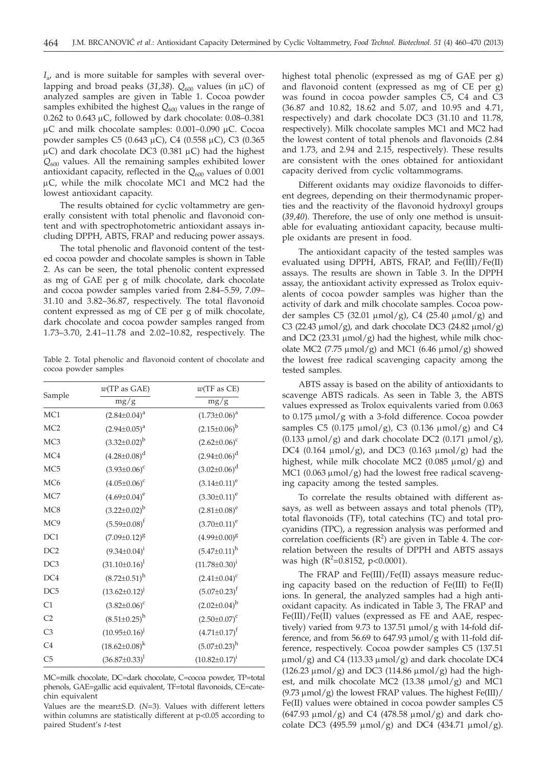*I*a, and is more suitable for samples with several overlapping and broad peaks (31,38).  $Q_{600}$  values (in  $\mu$ C) of analyzed samples are given in Table 1. Cocoa powder samples exhibited the highest  $Q_{600}$  values in the range of 0.262 to 0.643  $\mu$ C, followed by dark chocolate: 0.08-0.381  $\mu$ C and milk chocolate samples: 0.001–0.090  $\mu$ C. Cocoa powder samples C5 (0.643  $\mu$ C), C4 (0.558  $\mu$ C), C3 (0.365  $\mu$ C) and dark chocolate DC3 (0.381  $\mu$ C) had the highest *Q*<sup>600</sup> values. All the remaining samples exhibited lower antioxidant capacity, reflected in the Q<sub>600</sub> values of 0.001 µC, while the milk chocolate MC1 and MC2 had the lowest antioxidant capacity.

The results obtained for cyclic voltammetry are generally consistent with total phenolic and flavonoid content and with spectrophotometric antioxidant assays including DPPH, ABTS, FRAP and reducing power assays.

The total phenolic and flavonoid content of the tested cocoa powder and chocolate samples is shown in Table 2. As can be seen, the total phenolic content expressed as mg of GAE per g of milk chocolate, dark chocolate and cocoa powder samples varied from 2.84–5.59, 7.09– 31.10 and 3.82–36.87, respectively. The total flavonoid content expressed as mg of CE per g of milk chocolate, dark chocolate and cocoa powder samples ranged from 1.73–3.70, 2.41–11.78 and 2.02–10.82, respectively. The

Table 2. Total phenolic and flavonoid content of chocolate and cocoa powder samples

|                 | w(TP as GAE)           | $w$ (TF as CE)         |
|-----------------|------------------------|------------------------|
| Sample          | mg/g                   | mg/g                   |
| MC1             | $(2.84 \pm 0.04)^a$    | $(1.73 \pm 0.06)^a$    |
| MC <sub>2</sub> | $(2.94\pm0.05)^{a}$    | $(2.15 \pm 0.06)^{b}$  |
| MC <sub>3</sub> | $(3.32 \pm 0.02)^{b}$  | $(2.62 \pm 0.06)^c$    |
| MC4             | $(4.28 \pm 0.08)^d$    | $(2.94 \pm 0.06)^d$    |
| MC <sub>5</sub> | $(3.93 \pm 0.06)^c$    | $(3.02 \pm 0.06)^d$    |
| MC <sub>6</sub> | $(4.05 \pm 0.06)^c$    | $(3.14 \pm 0.11)^e$    |
| MC7             | $(4.69 \pm 0.04)^e$    | $(3.30 \pm 0.11)^e$    |
| MC8             | $(3.22 \pm 0.02)^{b}$  | $(2.81 \pm 0.08)^e$    |
| MC <sub>9</sub> | $(5.59 \pm 0.08)^f$    | $(3.70 \pm 0.11)^e$    |
| DC1             | $(7.09 \pm 0.12)^8$    | $(4.99 \pm 0.00)^8$    |
| DC <sub>2</sub> | $(9.34 \pm 0.04)^{i}$  | $(5.47 \pm 0.11)^h$    |
| DC3             | $(31.10 \pm 0.16)^1$   | $(11.78 \pm 0.30)^{i}$ |
| DC4             | $(8.72 \pm 0.51)^h$    | $(2.41 \pm 0.04)^c$    |
| DC <sub>5</sub> | $(13.62 \pm 0.12)^{j}$ | $(5.07 \pm 0.23)^f$    |
| C1              | $(3.82 \pm 0.06)^c$    | $(2.02\pm0.04)^{b}$    |
| C <sub>2</sub>  | $(8.51 \pm 0.25)^h$    | $(2.50 \pm 0.07)^c$    |
| C <sub>3</sub>  | $(10.95 \pm 0.16)^{j}$ | $(4.71 \pm 0.17)^f$    |
| C <sub>4</sub>  | $(18.62 \pm 0.08)^k$   | $(5.07 \pm 0.23)^h$    |
| C <sub>5</sub>  | $(36.87 \pm 0.33)^1$   | $(10.82 \pm 0.17)^{i}$ |

MC=milk chocolate, DC=dark chocolate, C=cocoa powder, TP=total phenols, GAE=gallic acid equivalent, TF=total flavonoids, CE=catechin equivalent

Values are the mean±S.D. (*N*=3). Values with different letters within columns are statistically different at  $p<0.05$  according to paired Student's *t*-test

highest total phenolic (expressed as mg of GAE per g) and flavonoid content (expressed as mg of CE per g) was found in cocoa powder samples C5, C4 and C3 (36.87 and 10.82, 18.62 and 5.07, and 10.95 and 4.71, respectively) and dark chocolate DC3 (31.10 and 11.78, respectively). Milk chocolate samples MC1 and MC2 had the lowest content of total phenols and flavonoids (2.84 and 1.73, and 2.94 and 2.15, respectively). These results are consistent with the ones obtained for antioxidant capacity derived from cyclic voltammograms.

Different oxidants may oxidize flavonoids to different degrees, depending on their thermodynamic properties and the reactivity of the flavonoid hydroxyl groups (*39,40*). Therefore, the use of only one method is unsuitable for evaluating antioxidant capacity, because multiple oxidants are present in food.

The antioxidant capacity of the tested samples was evaluated using DPPH, ABTS, FRAP, and Fe(III)/Fe(II) assays. The results are shown in Table 3. In the DPPH assay, the antioxidant activity expressed as Trolox equivalents of cocoa powder samples was higher than the activity of dark and milk chocolate samples. Cocoa powder samples C5 (32.01  $\mu$ mol/g), C4 (25.40  $\mu$ mol/g) and C3 (22.43  $\mu$ mol/g), and dark chocolate DC3 (24.82  $\mu$ mol/g) and DC2 (23.31  $\mu$ mol/g) had the highest, while milk chocolate MC2 (7.75  $\mu$ mol/g) and MC1 (6.46  $\mu$ mol/g) showed the lowest free radical scavenging capacity among the tested samples.

ABTS assay is based on the ability of antioxidants to scavenge ABTS radicals. As seen in Table 3, the ABTS values expressed as Trolox equivalents varied from 0.063 to  $0.175 \mu \text{mol/g}$  with a 3-fold difference. Cocoa powder samples C5 (0.175  $\mu$ mol/g), C3 (0.136  $\mu$ mol/g) and C4  $(0.133 \mu \text{mol/g})$  and dark chocolate DC2  $(0.171 \mu \text{mol/g})$ , DC4 (0.164  $\mu$ mol/g), and DC3 (0.163  $\mu$ mol/g) had the highest, while milk chocolate MC2 (0.085  $\mu$ mol/g) and MC1 (0.063  $\mu$ mol/g) had the lowest free radical scavenging capacity among the tested samples.

To correlate the results obtained with different assays, as well as between assays and total phenols (TP), total flavonoids (TF), total catechins (TC) and total procyanidins (TPC), a regression analysis was performed and correlation coefficients  $(R^2)$  are given in Table 4. The correlation between the results of DPPH and ABTS assays was high (R<sup>2</sup>=0.8152, p<0.0001).

The FRAP and Fe(III)/Fe(II) assays measure reducing capacity based on the reduction of Fe(III) to Fe(II) ions. In general, the analyzed samples had a high antioxidant capacity. As indicated in Table 3, The FRAP and Fe(III)/Fe(II) values (expressed as FE and AAE, respectively) varied from 9.73 to 137.51  $\mu$ mol/g with 14-fold difference, and from 56.69 to 647.93  $\mu$ mol/g with 11-fold difference, respectively. Cocoa powder samples C5 (137.51  $\mu$ mol/g) and C4 (113.33  $\mu$ mol/g) and dark chocolate DC4  $(126.23 \mu \text{mol/g})$  and DC3  $(114.86 \mu \text{mol/g})$  had the highest, and milk chocolate MC2  $(13.38 \mu \text{mol/g})$  and MC1  $(9.73 \text{ umol}/g)$  the lowest FRAP values. The highest Fe(III)/ Fe(II) values were obtained in cocoa powder samples C5  $(647.93 \mu \text{mol/g})$  and C4  $(478.58 \mu \text{mol/g})$  and dark chocolate DC3 (495.59  $\mu$ mol/g) and DC4 (434.71  $\mu$ mol/g).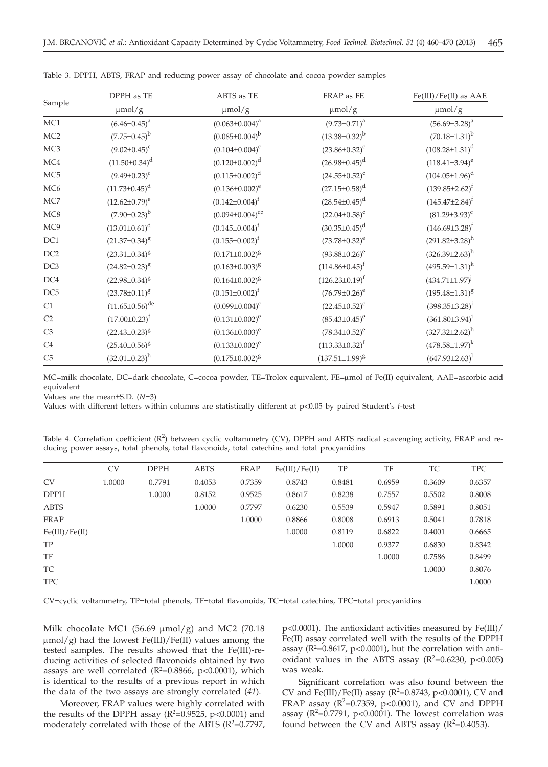|                 | DPPH as TE              | ABTS as TE                      | FRAP as FE            | Fe(III)/Fe(II) as AAE   |  |
|-----------------|-------------------------|---------------------------------|-----------------------|-------------------------|--|
| Sample          | $\mu$ mol/g             | $\mu$ mol/g                     | $\mu$ mol/g           | $\mu$ mol/g             |  |
| MC1             | $(6.46 \pm 0.45)^a$     | $(0.063 \pm 0.004)^a$           | $(9.73 \pm 0.71)^a$   | $(56.69 \pm 3.28)^a$    |  |
| MC <sub>2</sub> | $(7.75 \pm 0.45)^{b}$   | $(0.085 \pm 0.004)^{b}$         | $(13.38\pm0.32)^{b}$  | $(70.18 \pm 1.31)^b$    |  |
| MC <sub>3</sub> | $(9.02 \pm 0.45)^c$     | $(0.104 \pm 0.004)^c$           | $(23.86 \pm 0.32)^c$  | $(108.28 \pm 1.31)^d$   |  |
| MC4             | $(11.50 \pm 0.34)^d$    | $(0.120 \pm 0.002)^d$           | $(26.98\pm0.45)^d$    | $(118.41\pm3.94)^e$     |  |
| MC <sub>5</sub> | $(9.49 \pm 0.23)^c$     | $(0.115 \pm 0.002)^d$           | $(24.55 \pm 0.52)^c$  | $(104.05 \pm 1.96)^d$   |  |
| MC <sub>6</sub> | $(11.73 \pm 0.45)^d$    | $(0.136 \pm 0.002)^e$           | $(27.15 \pm 0.58)^d$  | $(139.85 \pm 2.62)^f$   |  |
| MC7             | $(12.62 \pm 0.79)^e$    | $(0.142 \pm 0.004)^f$           | $(28.54 \pm 0.45)^d$  | $(145.47 \pm 2.84)^f$   |  |
| MC8             | $(7.90 \pm 0.23)^{b}$   | $(0.094\pm0.004)$ <sup>cb</sup> | $(22.04 \pm 0.58)^c$  | $(81.29 \pm 3.93)^c$    |  |
| MC9             | $(13.01 \pm 0.61)^d$    | $(0.145 \pm 0.004)^f$           | $(30.35 \pm 0.45)^d$  | $(146.69 \pm 3.28)^f$   |  |
| DC1             | $(21.37 \pm 0.34)^8$    | $(0.155 \pm 0.002)^f$           | $(73.78 \pm 0.32)^e$  | $(291.82 \pm 3.28)^h$   |  |
| DC <sub>2</sub> | $(23.31 \pm 0.34)^8$    | $(0.171 \pm 0.002)^8$           | $(93.88 \pm 0.26)^e$  | $(326.39 \pm 2.63)^h$   |  |
| DC <sub>3</sub> | $(24.82 \pm 0.23)^8$    | $(0.163 \pm 0.003)^8$           | $(114.86 \pm 0.45)^f$ | $(495.59 \pm 1.31)^k$   |  |
| DC4             | $(22.98 \pm 0.34)^8$    | $(0.164 \pm 0.002)^8$           | $(126.23 \pm 0.19)^f$ | $(434.71 \pm 1.97)^{j}$ |  |
| DC <sub>5</sub> | $(23.78 \pm 0.11)^8$    | $(0.151 \pm 0.002)^f$           | $(76.79 \pm 0.26)^e$  | $(195.48 \pm 1.31)^8$   |  |
| C1              | $(11.65 \pm 0.56)^{de}$ | $(0.099 \pm 0.004)^c$           | $(22.45 \pm 0.52)^c$  | $(398.35 \pm 3.28)^i$   |  |
| C <sub>2</sub>  | $(17.00 \pm 0.23)^f$    | $(0.131 \pm 0.002)^e$           | $(85.43\pm0.45)^e$    | $(361.80 \pm 3.94)^i$   |  |
| C <sub>3</sub>  | $(22.43 \pm 0.23)^8$    | $(0.136 \pm 0.003)^e$           | $(78.34 \pm 0.52)^e$  | $(327.32 \pm 2.62)^h$   |  |
| C <sub>4</sub>  | $(25.40 \pm 0.56)^8$    | $(0.133 \pm 0.002)^e$           | $(113.33\pm0.32)^f$   | $(478.58 \pm 1.97)^k$   |  |
| C <sub>5</sub>  | $(32.01 \pm 0.23)^h$    | $(0.175 \pm 0.002)^8$           | $(137.51 \pm 1.99)^8$ | $(647.93 \pm 2.63)^1$   |  |

Table 3. DPPH, ABTS, FRAP and reducing power assay of chocolate and cocoa powder samples

MC=milk chocolate, DC=dark chocolate, C=cocoa powder, TE=Trolox equivalent, FE=mmol of Fe(II) equivalent, AAE=ascorbic acid equivalent

Values are the mean±S.D. (*N*=3)

Values with different letters within columns are statistically different at p<0.05 by paired Student's *t-*test

| Table 4. Correlation coefficient $(R^2)$ between cyclic voltammetry (CV), DPPH and ABTS radical scavenging activity, FRAP and re- |  |  |  |
|-----------------------------------------------------------------------------------------------------------------------------------|--|--|--|
| ducing power assays, total phenols, total flavonoids, total catechins and total procyanidins                                      |  |  |  |

|                | <b>CV</b> | <b>DPPH</b> | <b>ABTS</b> | FRAP   | Fe(III)/Fe(II) | TP     | TF     | TC     | <b>TPC</b> |
|----------------|-----------|-------------|-------------|--------|----------------|--------|--------|--------|------------|
| <b>CV</b>      | 1.0000    | 0.7791      | 0.4053      | 0.7359 | 0.8743         | 0.8481 | 0.6959 | 0.3609 | 0.6357     |
| <b>DPPH</b>    |           | 1.0000      | 0.8152      | 0.9525 | 0.8617         | 0.8238 | 0.7557 | 0.5502 | 0.8008     |
| <b>ABTS</b>    |           |             | 1.0000      | 0.7797 | 0.6230         | 0.5539 | 0.5947 | 0.5891 | 0.8051     |
| FRAP           |           |             |             | 1.0000 | 0.8866         | 0.8008 | 0.6913 | 0.5041 | 0.7818     |
| Fe(III)/Fe(II) |           |             |             |        | 1.0000         | 0.8119 | 0.6822 | 0.4001 | 0.6665     |
| TP             |           |             |             |        |                | 1.0000 | 0.9377 | 0.6830 | 0.8342     |
| TF             |           |             |             |        |                |        | 1.0000 | 0.7586 | 0.8499     |
| TC             |           |             |             |        |                |        |        | 1.0000 | 0.8076     |
| <b>TPC</b>     |           |             |             |        |                |        |        |        | 1.0000     |
|                |           |             |             |        |                |        |        |        |            |

CV=cyclic voltammetry, TP=total phenols, TF=total flavonoids, TC=total catechins, TPC=total procyanidins

Milk chocolate MC1 (56.69  $\mu$ mol/g) and MC2 (70.18  $\mu$ mol/g) had the lowest Fe(III)/Fe(II) values among the tested samples. The results showed that the Fe(III)-reducing activities of selected flavonoids obtained by two assays are well correlated ( $R^2$ =0.8866, p<0.0001), which is identical to the results of a previous report in which the data of the two assays are strongly correlated (*41*).

Moreover, FRAP values were highly correlated with the results of the DPPH assay  $(R^2=0.9525, p<0.0001)$  and moderately correlated with those of the ABTS  $(R<sup>2</sup>=0.7797)$ , p<0.0001). The antioxidant activities measured by Fe(III)/ Fe(II) assay correlated well with the results of the DPPH assay ( $R^2$ =0.8617, p<0.0001), but the correlation with antioxidant values in the ABTS assay  $(R^2=0.6230, p<0.005)$ was weak.

Significant correlation was also found between the CV and Fe(III)/Fe(II) assay ( $R^2$ =0.8743, p<0.0001), CV and FRAP assay ( $R^2$ =0.7359, p<0.0001), and CV and DPPH assay ( $R^2$ =0.7791, p<0.0001). The lowest correlation was found between the CV and ABTS assay  $(R^2=0.4053)$ .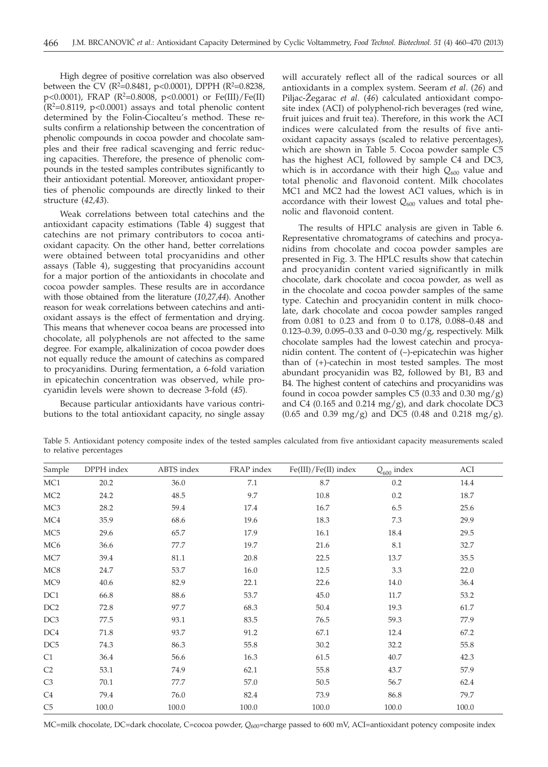High degree of positive correlation was also observed between the CV (R<sup>2</sup>=0.8481, p<0.0001), DPPH (R<sup>2</sup>=0.8238, p<0.0001), FRAP (R2 =0.8008, p<0.0001) or Fe(III)/Fe(II)  $(R<sup>2</sup>=0.8119, p<0.0001)$  assays and total phenolic content determined by the Folin-Ciocalteu's method. These results confirm a relationship between the concentration of phenolic compounds in cocoa powder and chocolate samples and their free radical scavenging and ferric reducing capacities. Therefore, the presence of phenolic compounds in the tested samples contributes significantly to their antioxidant potential. Moreover, antioxidant properties of phenolic compounds are directly linked to their structure (*42,43*).

Weak correlations between total catechins and the antioxidant capacity estimations (Table 4) suggest that catechins are not primary contributors to cocoa antioxidant capacity. On the other hand, better correlations were obtained between total procyanidins and other assays (Table 4), suggesting that procyanidins account for a major portion of the antioxidants in chocolate and cocoa powder samples. These results are in accordance with those obtained from the literature (*10,27,44*). Another reason for weak correlations between catechins and antioxidant assays is the effect of fermentation and drying. This means that whenever cocoa beans are processed into chocolate, all polyphenols are not affected to the same degree. For example, alkalinization of cocoa powder does not equally reduce the amount of catechins as compared to procyanidins. During fermentation, a 6-fold variation in epicatechin concentration was observed, while procyanidin levels were shown to decrease 3-fold (*45*)*.*

Because particular antioxidants have various contributions to the total antioxidant capacity, no single assay will accurately reflect all of the radical sources or all antioxidants in a complex system. Seeram *et al*. (*26*) and Piljac-Žegarac *et al.* (46) calculated antioxidant composite index (ACI) of polyphenol-rich beverages (red wine, fruit juices and fruit tea). Therefore, in this work the ACI indices were calculated from the results of five antioxidant capacity assays (scaled to relative percentages), which are shown in Table 5. Cocoa powder sample C5 has the highest ACI, followed by sample C4 and DC3, which is in accordance with their high  $Q_{600}$  value and total phenolic and flavonoid content. Milk chocolates MC1 and MC2 had the lowest ACI values, which is in accordance with their lowest  $Q_{600}$  values and total phenolic and flavonoid content.

The results of HPLC analysis are given in Table 6. Representative chromatograms of catechins and procyanidins from chocolate and cocoa powder samples are presented in Fig. 3. The HPLC results show that catechin and procyanidin content varied significantly in milk chocolate, dark chocolate and cocoa powder, as well as in the chocolate and cocoa powder samples of the same type. Catechin and procyanidin content in milk chocolate, dark chocolate and cocoa powder samples ranged from 0.081 to 0.23 and from 0 to 0.178, 0.088–0.48 and 0.123–0.39, 0.095–0.33 and 0–0.30 mg/g, respectively. Milk chocolate samples had the lowest catechin and procyanidin content. The content of (–)-epicatechin was higher than of (+)-catechin in most tested samples. The most abundant procyanidin was B2, followed by B1, B3 and B4. The highest content of catechins and procyanidins was found in cocoa powder samples C5 (0.33 and 0.30 mg/g) and C4 (0.165 and 0.214 mg/g), and dark chocolate DC3  $(0.65$  and  $0.39$  mg/g) and DC5  $(0.48$  and  $0.218$  mg/g).

Table 5. Antioxidant potency composite index of the tested samples calculated from five antioxidant capacity measurements scaled to relative percentages

| Sample          | DPPH index | ABTS index | FRAP index | $Fe(III)/Fe(II)$ index | $Q_{600}$ index | ACI   |
|-----------------|------------|------------|------------|------------------------|-----------------|-------|
| MC1             | 20.2       | 36.0       | 7.1        | $8.7\,$                | 0.2             | 14.4  |
| MC <sub>2</sub> | 24.2       | 48.5       | 9.7        | 10.8                   | 0.2             | 18.7  |
| MC <sub>3</sub> | 28.2       | 59.4       | 17.4       | 16.7                   | 6.5             | 25.6  |
| MC4             | 35.9       | 68.6       | 19.6       | 18.3                   | 7.3             | 29.9  |
| MC <sub>5</sub> | 29.6       | 65.7       | 17.9       | 16.1                   | 18.4            | 29.5  |
| MC <sub>6</sub> | 36.6       | 77.7       | 19.7       | 21.6                   | 8.1             | 32.7  |
| MC7             | 39.4       | 81.1       | 20.8       | 22.5                   | 13.7            | 35.5  |
| MC8             | 24.7       | 53.7       | 16.0       | 12.5                   | 3.3             | 22.0  |
| MC9             | 40.6       | 82.9       | 22.1       | 22.6                   | 14.0            | 36.4  |
| DC1             | 66.8       | 88.6       | 53.7       | 45.0                   | 11.7            | 53.2  |
| DC <sub>2</sub> | 72.8       | 97.7       | 68.3       | 50.4                   | 19.3            | 61.7  |
| DC <sub>3</sub> | 77.5       | 93.1       | 83.5       | 76.5                   | 59.3            | 77.9  |
| DC4             | 71.8       | 93.7       | 91.2       | 67.1                   | 12.4            | 67.2  |
| DC <sub>5</sub> | 74.3       | 86.3       | 55.8       | 30.2                   | 32.2            | 55.8  |
| C1              | 36.4       | 56.6       | 16.3       | 61.5                   | 40.7            | 42.3  |
| C <sub>2</sub>  | 53.1       | 74.9       | 62.1       | 55.8                   | 43.7            | 57.9  |
| C <sub>3</sub>  | 70.1       | 77.7       | 57.0       | 50.5                   | 56.7            | 62.4  |
| C <sub>4</sub>  | 79.4       | 76.0       | 82.4       | 73.9                   | 86.8            | 79.7  |
| C5              | 100.0      | 100.0      | 100.0      | 100.0                  | 100.0           | 100.0 |

MC=milk chocolate, DC=dark chocolate, C=cocoa powder, Q<sub>600</sub>=charge passed to 600 mV, ACI=antioxidant potency composite index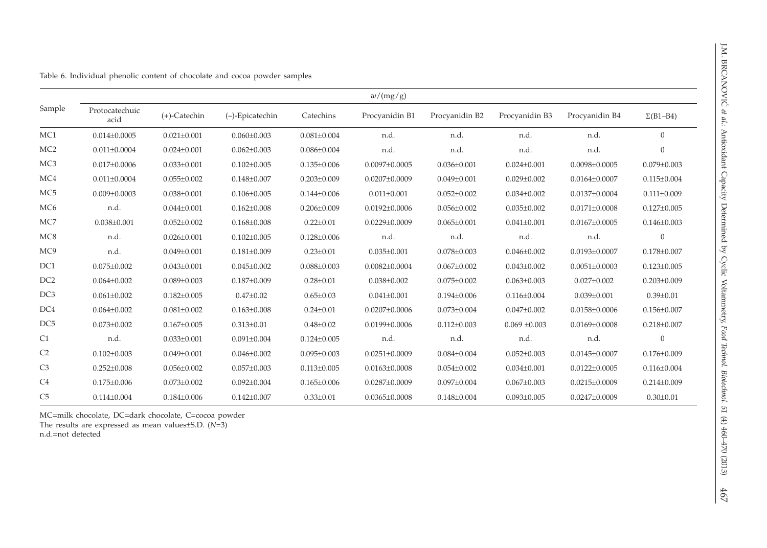|                 | w/(mg/g)               |                   |                   |                   |                     |                   |                   |                     |                   |  |
|-----------------|------------------------|-------------------|-------------------|-------------------|---------------------|-------------------|-------------------|---------------------|-------------------|--|
| Sample          | Protocatechuic<br>acid | $(+)$ -Catechin   | (-)-Epicatechin   | Catechins         | Procyanidin B1      | Procyanidin B2    | Procyanidin B3    | Procyanidin B4      | $\Sigma$ (B1-B4)  |  |
| MC <sub>1</sub> | $0.014 \pm 0.0005$     | $0.021 \pm 0.001$ | $0.060 \pm 0.003$ | $0.081 \pm 0.004$ | n.d.                | n.d.              | n.d.              | n.d.                | $\overline{0}$    |  |
| MC <sub>2</sub> | $0.011 \pm 0.0004$     | $0.024 \pm 0.001$ | $0.062 \pm 0.003$ | $0.086 \pm 0.004$ | n.d.                | n.d.              | n.d.              | n.d.                | $\Omega$          |  |
| MC <sub>3</sub> | $0.017 \pm 0.0006$     | $0.033 \pm 0.001$ | $0.102 \pm 0.005$ | $0.135 \pm 0.006$ | $0.0097 \pm 0.0005$ | $0.036 \pm 0.001$ | $0.024 \pm 0.001$ | $0.0098 \pm 0.0005$ | $0.079 \pm 0.003$ |  |
| MC4             | $0.011 \pm 0.0004$     | $0.055 \pm 0.002$ | $0.148 \pm 0.007$ | $0.203 \pm 0.009$ | $0.0207 \pm 0.0009$ | $0.049 \pm 0.001$ | $0.029 \pm 0.002$ | $0.0164 \pm 0.0007$ | $0.115 \pm 0.004$ |  |
| MC <sub>5</sub> | $0.009 \pm 0.0003$     | $0.038 \pm 0.001$ | $0.106 \pm 0.005$ | $0.144 \pm 0.006$ | $0.011 \pm 0.001$   | $0.052 \pm 0.002$ | $0.034 \pm 0.002$ | $0.0137 \pm 0.0004$ | $0.111 \pm 0.009$ |  |
| MC <sub>6</sub> | n.d.                   | $0.044 \pm 0.001$ | $0.162 \pm 0.008$ | $0.206 \pm 0.009$ | $0.0192 \pm 0.0006$ | $0.056 \pm 0.002$ | $0.035 \pm 0.002$ | $0.0171 \pm 0.0008$ | $0.127 \pm 0.005$ |  |
| MC7             | $0.038 \pm 0.001$      | $0.052 \pm 0.002$ | $0.168 \pm 0.008$ | $0.22 \pm 0.01$   | $0.0229 \pm 0.0009$ | $0.065 \pm 0.001$ | $0.041 \pm 0.001$ | $0.0167 \pm 0.0005$ | $0.146 \pm 0.003$ |  |
| MC8             | n.d.                   | $0.026 \pm 0.001$ | $0.102 \pm 0.005$ | $0.128 \pm 0.006$ | n.d.                | n.d.              | n.d.              | n.d.                | $\mathbf{0}$      |  |
| MC9             | n.d.                   | $0.049 \pm 0.001$ | $0.181 \pm 0.009$ | $0.23 \pm 0.01$   | $0.035 \pm 0.001$   | $0.078 \pm 0.003$ | $0.046 \pm 0.002$ | $0.0193 \pm 0.0007$ | $0.178 \pm 0.007$ |  |
| DC1             | $0.075 \pm 0.002$      | $0.043 \pm 0.001$ | $0.045 \pm 0.002$ | $0.088 \pm 0.003$ | $0.0082 \pm 0.0004$ | $0.067 \pm 0.002$ | $0.043 \pm 0.002$ | $0.0051 \pm 0.0003$ | $0.123 \pm 0.005$ |  |
| DC <sub>2</sub> | $0.064 \pm 0.002$      | $0.089 \pm 0.003$ | $0.187 \pm 0.009$ | $0.28 \pm 0.01$   | $0.038 \pm 0.002$   | $0.075 \pm 0.002$ | $0.063 \pm 0.003$ | $0.027 \pm 0.002$   | $0.203 \pm 0.009$ |  |
| DC <sub>3</sub> | $0.061 \pm 0.002$      | $0.182 \pm 0.005$ | $0.47 \pm 0.02$   | $0.65 \pm 0.03$   | $0.041 \pm 0.001$   | $0.194 \pm 0.006$ | $0.116 \pm 0.004$ | $0.039 \pm 0.001$   | $0.39 \pm 0.01$   |  |
| DC4             | $0.064 \pm 0.002$      | $0.081 \pm 0.002$ | $0.163 \pm 0.008$ | $0.24 \pm 0.01$   | $0.0207 \pm 0.0006$ | $0.073 \pm 0.004$ | $0.047 \pm 0.002$ | $0.0158 \pm 0.0006$ | $0.156 \pm 0.007$ |  |
| DC <sub>5</sub> | $0.073 \pm 0.002$      | $0.167 \pm 0.005$ | $0.313 \pm 0.01$  | $0.48 \pm 0.02$   | $0.0199 \pm 0.0006$ | $0.112 \pm 0.003$ | $0.069 \pm 0.003$ | $0.0169 \pm 0.0008$ | $0.218 \pm 0.007$ |  |
| C1              | n.d.                   | $0.033 \pm 0.001$ | $0.091 \pm 0.004$ | $0.124 \pm 0.005$ | n.d.                | n.d.              | n.d.              | n.d.                | $\mathbf{0}$      |  |
| C <sub>2</sub>  | $0.102 \pm 0.003$      | $0.049 \pm 0.001$ | $0.046 \pm 0.002$ | $0.095 \pm 0.003$ | $0.0251 \pm 0.0009$ | $0.084 \pm 0.004$ | $0.052 \pm 0.003$ | $0.0145 \pm 0.0007$ | $0.176 \pm 0.009$ |  |
| C3              | $0.252 \pm 0.008$      | $0.056 \pm 0.002$ | $0.057 \pm 0.003$ | $0.113 \pm 0.005$ | $0.0163 \pm 0.0008$ | $0.054 \pm 0.002$ | $0.034 \pm 0.001$ | $0.0122 \pm 0.0005$ | $0.116 \pm 0.004$ |  |
| C <sub>4</sub>  | $0.175 \pm 0.006$      | $0.073 \pm 0.002$ | $0.092 \pm 0.004$ | $0.165 \pm 0.006$ | $0.0287 \pm 0.0009$ | $0.097 \pm 0.004$ | $0.067 \pm 0.003$ | $0.0215 \pm 0.0009$ | $0.214 \pm 0.009$ |  |
| C5              | $0.114 \pm 0.004$      | $0.184 \pm 0.006$ | $0.142 \pm 0.007$ | $0.33 \pm 0.01$   | $0.0365 \pm 0.0008$ | $0.148 \pm 0.004$ | $0.093 \pm 0.005$ | $0.0247 \pm 0.0009$ | $0.30 \pm 0.01$   |  |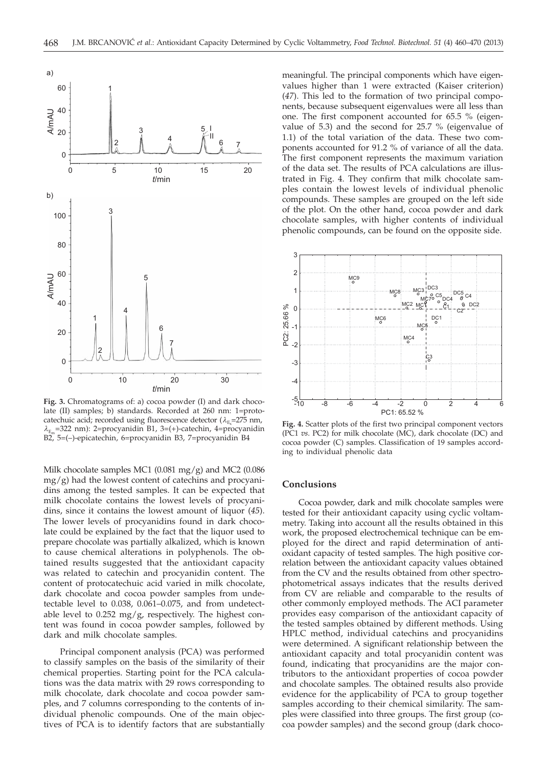

**Fig. 3.** Chromatograms of: a) cocoa powder (I) and dark chocolate (II) samples; b) standards. Recorded at 260 nm: 1=protocatechuic acid; recorded using fluorescence detector ( $\lambda_{\rm E}$ =275 nm,<br>
2 = 322 nm): 2=procyanidin B1, 3=(+)-catechin, 4=procyanidir  $\lambda_{\text{E}}$ =322 nm): 2=procyanidin B1, 3=(+)-catechin, 4=procyanidin B2, 5=(–)-epicatechin, 6=procyanidin B3, 7=procyanidin B4

Milk chocolate samples MC1  $(0.081 \text{ mg/g})$  and MC2  $(0.086$  $mg/g$ ) had the lowest content of catechins and procyanidins among the tested samples. It can be expected that milk chocolate contains the lowest levels of procyanidins, since it contains the lowest amount of liquor (*45*). The lower levels of procyanidins found in dark chocolate could be explained by the fact that the liquor used to prepare chocolate was partially alkalized, which is known to cause chemical alterations in polyphenols. The obtained results suggested that the antioxidant capacity was related to catechin and procyanidin content. The content of protocatechuic acid varied in milk chocolate, dark chocolate and cocoa powder samples from undetectable level to 0.038, 0.061–0.075, and from undetectable level to  $0.252$  mg/g, respectively. The highest content was found in cocoa powder samples, followed by dark and milk chocolate samples.

Principal component analysis (PCA) was performed to classify samples on the basis of the similarity of their chemical properties. Starting point for the PCA calculations was the data matrix with 29 rows corresponding to milk chocolate, dark chocolate and cocoa powder samples, and 7 columns corresponding to the contents of individual phenolic compounds. One of the main objectives of PCA is to identify factors that are substantially meaningful. The principal components which have eigenvalues higher than 1 were extracted (Kaiser criterion) (*47*). This led to the formation of two principal components, because subsequent eigenvalues were all less than one. The first component accounted for 65.5 % (eigenvalue of 5.3) and the second for 25.7 % (eigenvalue of 1.1) of the total variation of the data. These two components accounted for 91.2 % of variance of all the data. The first component represents the maximum variation of the data set. The results of PCA calculations are illustrated in Fig. 4. They confirm that milk chocolate samples contain the lowest levels of individual phenolic compounds. These samples are grouped on the left side of the plot. On the other hand, cocoa powder and dark chocolate samples, with higher contents of individual phenolic compounds, can be found on the opposite side.



**Fig. 4.** Scatter plots of the first two principal component vectors (PC1 *vs*. PC2) for milk chocolate (MC), dark chocolate (DC) and cocoa powder (C) samples. Classification of 19 samples according to individual phenolic data

## **Conclusions**

Cocoa powder, dark and milk chocolate samples were tested for their antioxidant capacity using cyclic voltammetry. Taking into account all the results obtained in this work, the proposed electrochemical technique can be employed for the direct and rapid determination of antioxidant capacity of tested samples. The high positive correlation between the antioxidant capacity values obtained from the CV and the results obtained from other spectrophotometrical assays indicates that the results derived from CV are reliable and comparable to the results of other commonly employed methods. The ACI parameter provides easy comparison of the antioxidant capacity of the tested samples obtained by different methods. Using HPLC method, individual catechins and procyanidins were determined. A significant relationship between the antioxidant capacity and total procyanidin content was found, indicating that procyanidins are the major contributors to the antioxidant properties of cocoa powder and chocolate samples. The obtained results also provide evidence for the applicability of PCA to group together samples according to their chemical similarity. The samples were classified into three groups. The first group (cocoa powder samples) and the second group (dark choco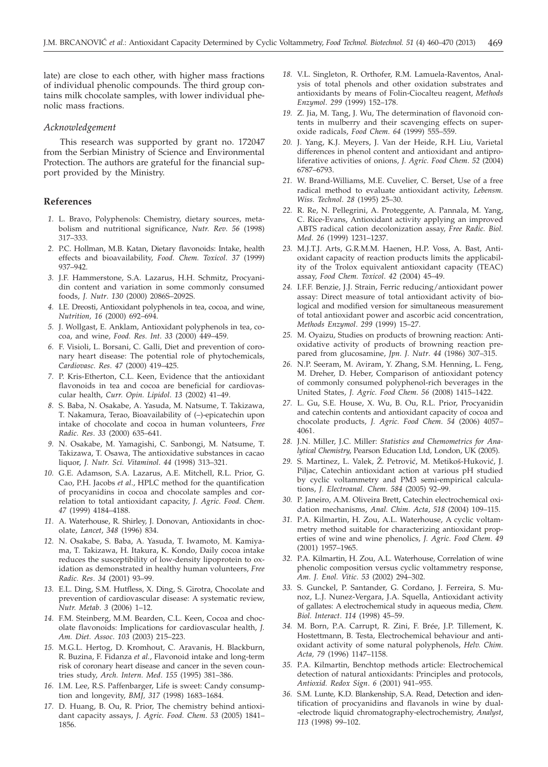late) are close to each other, with higher mass fractions of individual phenolic compounds. The third group contains milk chocolate samples, with lower individual phenolic mass fractions.

#### *Acknowledgement*

This research was supported by grant no. 172047 from the Serbian Ministry of Science and Environmental Protection. The authors are grateful for the financial support provided by the Ministry.

## **References**

- *1.* L. Bravo, Polyphenols: Chemistry, dietary sources, metabolism and nutritional significance, *Nutr. Rev*. *56* (1998) 317–333.
- *2.* P.C. Hollman, M.B. Katan, Dietary flavonoids: Intake, health effects and bioavailability, *Food. Chem. Toxicol*. *37* (1999) 937–942.
- *3.* J.F. Hammerstone, S.A. Lazarus, H.H. Schmitz, Procyanidin content and variation in some commonly consumed foods, *J. Nutr*. *130* (2000) 2086S–2092S.
- *4.* I.E. Dreosti, Antioxidant polyphenols in tea, cocoa, and wine, *Nutrition, 16* (2000) 692–694.
- *5.* J. Wollgast, E. Anklam, Antioxidant polyphenols in tea, cocoa, and wine, *Food. Res. Int*. *33* (2000) 449–459.
- *6.* F. Visioli, L. Borsani, C. Galli, Diet and prevention of coronary heart disease: The potential role of phytochemicals, *Cardiovasc. Res*. *47* (2000) 419–425.
- *7.* P. Kris-Etherton, C.L. Keen, Evidence that the antioxidant flavonoids in tea and cocoa are beneficial for cardiovascular health, *Curr. Opin. Lipidol*. *13* (2002) 41–49.
- *8.* S. Baba, N. Osakabe, A. Yasuda, M. Natsume, T. Takizawa, T. Nakamura, Terao, Bioavailability of (–)-epicatechin upon intake of chocolate and cocoa in human volunteers, *Free Radic. Res*. *33* (2000) 635–641.
- *9.* N. Osakabe, M. Yamagishi, C. Sanbongi, M. Natsume, T. Takizawa, T. Osawa, The antioxidative substances in cacao liquor, *J. Nutr. Sci. Vitaminol*. *44* (1998) 313–321.
- *10.* G.E. Adamson, S.A. Lazarus, A.E. Mitchell, R.L. Prior, G. Cao, P.H. Jacobs *et al*., HPLC method for the quantification of procyanidins in cocoa and chocolate samples and correlation to total antioxidant capacity, *J. Agric. Food. Chem*. *47* (1999) 4184–4188.
- *11.* A. Waterhouse, R. Shirley, J. Donovan, Antioxidants in chocolate, *Lancet*, *348* (1996) 834.
- *12.* N. Osakabe, S. Baba, A. Yasuda, T. Iwamoto, M. Kamiyama, T. Takizawa, H. Itakura, K. Kondo, Daily cocoa intake reduces the susceptibility of low-density lipoprotein to oxidation as demonstrated in healthy human volunteers, *Free Radic. Res*. *34* (2001) 93–99.
- *13.* E.L. Ding, S.M. Hutfless, X. Ding, S. Girotra, Chocolate and prevention of cardiovascular disease: A systematic review, *Nutr. Metab*. *3* (2006) 1–12.
- *14.* F.M. Steinberg, M.M. Bearden, C.L. Keen, Cocoa and chocolate flavonoids: Implications for cardiovascular health, *J. Am. Diet. Assoc*. *103* (2003) 215–223.
- *15.* M.G.L. Hertog, D. Kromhout, C. Aravanis, H. Blackburn, R. Buzina, F. Fidanza *et al.*, Flavonoid intake and long-term risk of coronary heart disease and cancer in the seven countries study, *Arch. Intern. Med*. *155* (1995) 381–386.
- *16.* I.M. Lee, R.S. Paffenbarger, Life is sweet: Candy consumption and longevity, *BMJ, 317* (1998) 1683–1684.
- *17.* D. Huang, B. Ou, R. Prior, The chemistry behind antioxidant capacity assays, *J. Agric. Food. Chem*. *53* (2005) 1841– 1856.
- *18.* V.L. Singleton, R. Orthofer, R.M. Lamuela-Raventos, Analysis of total phenols and other oxidation substrates and antioxidants by means of Folin-Ciocalteu reagent, *Methods Enzymol*. *299* (1999) 152–178.
- *19.* Z. Jia, M. Tang, J. Wu, The determination of flavonoid contents in mulberry and their scavenging effects on superoxide radicals, *Food Chem*. *64* (1999) 555–559.
- *20.* J. Yang, K.J. Meyers, J. Van der Heide, R.H. Liu, Varietal differences in phenol content and antioxidant and antiproliferative activities of onions, *J. Agric. Food Chem*. *52* (2004) 6787–6793.
- *21.* W. Brand-Williams, M.E. Cuvelier, C. Berset, Use of a free radical method to evaluate antioxidant activity, *Lebensm. Wiss. Technol*. *28* (1995) 25–30.
- *22.* R. Re, N. Pellegrini, A. Proteggente, A. Pannala, M. Yang, C. Rice-Evans, Antioxidant activity applying an improved ABTS radical cation decolonization assay, *Free Radic. Biol. Med*. *26* (1999) 1231–1237.
- *23.* M.J.T.J. Arts, G.R.M.M. Haenen, H.P. Voss, A. Bast, Antioxidant capacity of reaction products limits the applicability of the Trolox equivalent antioxidant capacity (TEAC) assay, *Food Chem. Toxicol*. *42* (2004) 45–49.
- *24.* I.F.F. Benzie, J.J. Strain, Ferric reducing/antioxidant power assay: Direct measure of total antioxidant activity of biological and modified version for simultaneous measurement of total antioxidant power and ascorbic acid concentration, *Methods Enzymol*. *299* (1999) 15–27.
- *25.* M. Oyaizu, Studies on products of browning reaction: Antioxidative activity of products of browning reaction prepared from glucosamine, *Jpn. J. Nutr*. *44* (1986) 307–315.
- *26.* N.P. Seeram, M. Aviram, Y. Zhang, S.M. Henning, L. Feng, M. Dreher, D. Heber, Comparison of antioxidant potency of commonly consumed polyphenol-rich beverages in the United States, *J. Agric. Food Chem*. *56* (2008) 1415–1422.
- *27.* L. Gu, S.E. House, X. Wu, B. Ou, R.L. Prior, Procyanidin and catechin contents and antioxidant capacity of cocoa and chocolate products, *J. Agric. Food Chem*. *54* (2006) 4057– 4061.
- *28.* J.N. Miller, J.C. Miller: *Statistics and Chemometrics for Analytical Chemistry*, Pearson Education Ltd, London, UK (2005).
- 29. S. Martinez, L. Valek, Ž. Petrović, M. Metikoš-Huković, J. Piljac, Catechin antioxidant action at various pH studied by cyclic voltammetry and PM3 semi-empirical calculations, *J. Electroanal. Chem*. *584* (2005) 92–99.
- *30.* P. Janeiro, A.M. Oliveira Brett, Catechin electrochemical oxidation mechanisms, *Anal. Chim. Acta*, *518* (2004) 109–115.
- *31.* P.A. Kilmartin, H. Zou, A.L. Waterhouse, A cyclic voltammetry method suitable for characterizing antioxidant properties of wine and wine phenolics, *J. Agric. Food Chem*. *49* (2001) 1957–1965.
- *32.* P.A. Kilmartin, H. Zou, A.L. Waterhouse, Correlation of wine phenolic composition versus cyclic voltammetry response, *Am. J. Enol. Vitic*. *53* (2002) 294–302.
- *33.* S. Gunckel, P. Santander, G. Cordano, J. Ferreira, S. Munoz, L.J. Nunez-Vergara, J.A. Squella, Antioxidant activity of gallates: A electrochemical study in aqueous media, *Chem. Biol. Interact*. *114* (1998) 45–59.
- *34.* M. Born, P.A. Carrupt, R. Zini, F. Brée, J.P. Tillement, K. Hostettmann, B. Testa, Electrochemical behaviour and antioxidant activity of some natural polyphenols, *Helv. Chim. Acta, 79* (1996) 1147–1158.
- *35.* P.A. Kilmartin, Benchtop methods article: Electrochemical detection of natural antioxidants: Principles and protocols, *Antioxid. Redox Sign*. *6* (2001) 941–955.
- *36.* S.M. Lunte, K.D. Blankenship, S.A. Read, Detection and identification of procyanidins and flavanols in wine by dual- -electrode liquid chromatography-electrochemistry, *Analyst*, *113* (1998) 99–102.